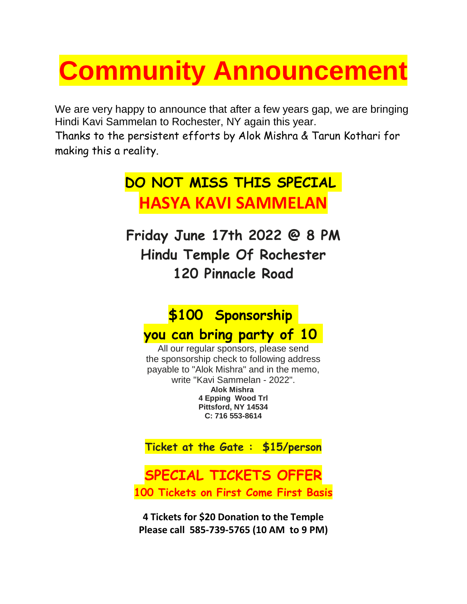# **Community Announcement**

We are very happy to announce that after a few years gap, we are bringing Hindi Kavi Sammelan to Rochester, NY again this year.

Thanks to the persistent efforts by Alok Mishra & Tarun Kothari for making this a reality.

# **DO NOT MISS THIS SPECIAL HASYA KAVI SAMMELAN**

**Friday June 17th 2022 @ 8 PM Hindu Temple Of Rochester 120 Pinnacle Road**

## **\$100 Sponsorship**

### **you can bring party of 10**

All our regular sponsors, please send the sponsorship check to following address payable to "Alok Mishra" and in the memo, write "Kavi Sammelan - 2022". **Alok Mishra 4 Epping Wood Trl Pittsford, NY 14534 C: 716 553-8614**

**Ticket at the Gate : \$15/person**

### **SPECIAL TICKETS OFFER 100 Tickets on First Come First Basis**

**4 Tickets for \$20 Donation to the Temple Please call 585-739-5765 (10 AM to 9 PM)**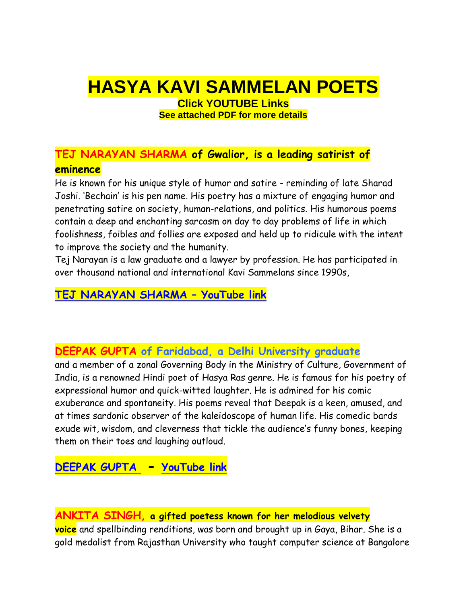# **HASYA KAVI SAMMELAN POETS**

**Click YOUTUBE Links See attached PDF for more details**

### **TEJ NARAYAN SHARMA of Gwalior, is a leading satirist of eminence**

He is known for his unique style of humor and satire - reminding of late Sharad Joshi. 'Bechain' is his pen name. His poetry has a mixture of engaging humor and penetrating satire on society, human-relations, and politics. His humorous poems contain a deep and enchanting sarcasm on day to day problems of life in which foolishness, foibles and follies are exposed and held up to ridicule with the intent to improve the society and the humanity.

Tej Narayan is a law graduate and a lawyer by profession. He has participated in over thousand national and international Kavi Sammelans since 1990s,

### **[TEJ NARAYAN SHARMA](https://www.youtube.com/watch?v=QXlvMEa1Ms8) – YouTube link**

#### **DEEPAK GUPTA of Faridabad, a Delhi University graduate**

and a member of a zonal Governing Body in the Ministry of Culture, Government of India, is a renowned Hindi poet of Hasya Ras genre. He is famous for his poetry of expressional humor and quick-witted laughter. He is admired for his comic exuberance and spontaneity. His poems reveal that Deepak is a keen, amused, and at times sardonic observer of the kaleidoscope of human life. His comedic bards exude wit, wisdom, and cleverness that tickle the audience's funny bones, keeping them on their toes and laughing outloud.

**[DEEPAK GUPTA](https://www.youtube.com/watch?v=SOIIyesdCwY) - YouTube link**

#### **ANKITA SINGH, a gifted poetess known for her melodious velvety**

**voice** and spellbinding renditions, was born and brought up in Gaya, Bihar. She is a gold medalist from Rajasthan University who taught computer science at Bangalore